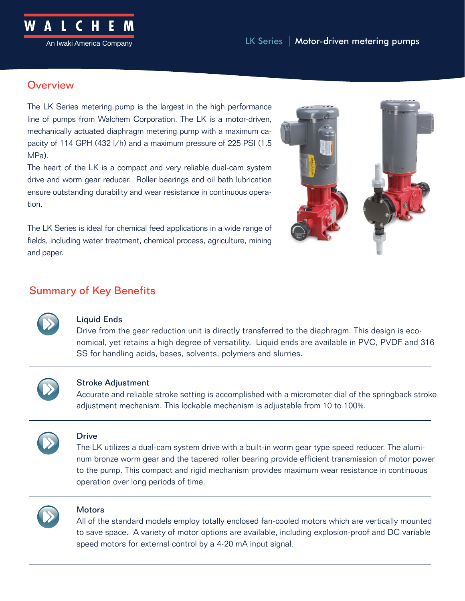

# **Overview**

The LK Series metering pump is the largest in the high performance line of pumps from Walchem Corporation. The LK is a motor-driven, mechanically actuated diaphragm metering pump with a maximum capacity of 114 GPH (432 l/h) and a maximum pressure of 225 PSI (1.5 MPa).

The heart of the LK is a compact and very reliable dual-cam system drive and worm gear reducer. Roller bearings and oil bath lubrication ensure outstanding durability and wear resistance in continuous operation.

The LK Series is ideal for chemical feed applications in a wide range of fields, including water treatment, chemical process, agriculture, mining and paper.



# Summary of Key Benefits



## Liquid Ends

Drive from the gear reduction unit is directly transferred to the diaphragm. This design is economical, yet retains a high degree of versatility. Liquid ends are available in PVC, PVDF and 316 SS for handling acids, bases, solvents, polymers and slurries.



## Stroke Adjustment

Accurate and reliable stroke setting is accomplished with a micrometer dial of the springback stroke adjustment mechanism. This lockable mechanism is adjustable from 10 to 100%.



## Drive

The LK utilizes a dual-cam system drive with a built-in worm gear type speed reducer. The aluminum bronze worm gear and the tapered roller bearing provide efficient transmission of motor power to the pump. This compact and rigid mechanism provides maximum wear resistance in continuous operation over long periods of time.



# **Motors**

All of the standard models employ totally enclosed fan-cooled motors which are vertically mounted to save space. A variety of motor options are available, including explosion-proof and DC variable speed motors for external control by a 4-20 mA input signal.